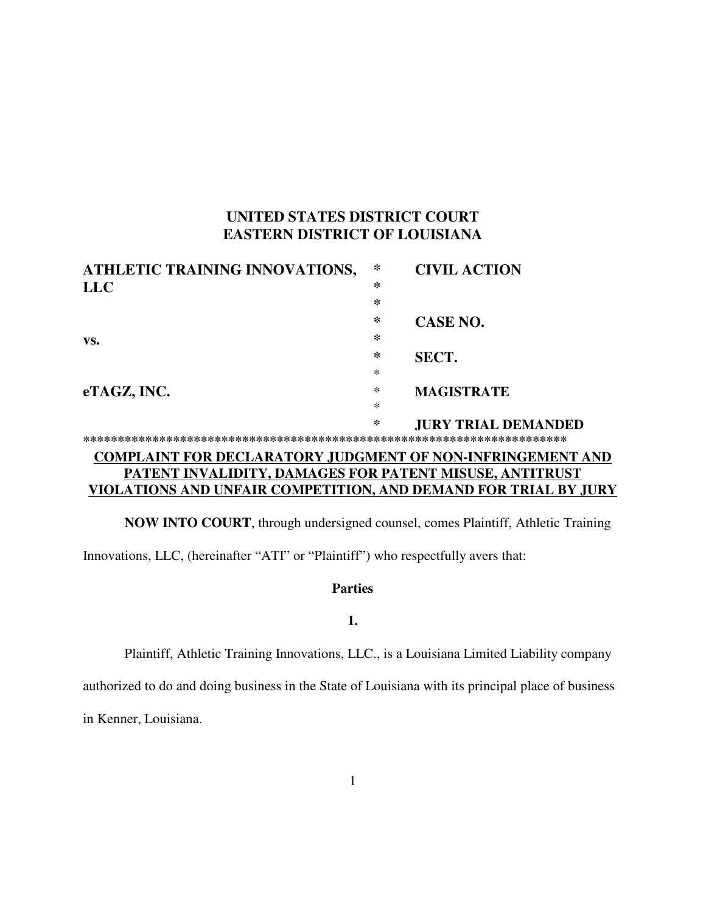# **UNITED STATES DISTRICT COURT EASTERN DISTRICT OF LOUISIANA**

| ATHLETIC TRAINING INNOVATIONS,                                    | ∗ | <b>CIVIL ACTION</b>        |
|-------------------------------------------------------------------|---|----------------------------|
| <b>LLC</b>                                                        | ∗ |                            |
|                                                                   | * |                            |
|                                                                   | ∗ | <b>CASE NO.</b>            |
| VS.                                                               | ∗ |                            |
|                                                                   | ∗ | <b>SECT.</b>               |
|                                                                   | * |                            |
| eTAGZ, INC.                                                       | ∗ | <b>MAGISTRATE</b>          |
|                                                                   | ∗ |                            |
|                                                                   | ∗ | <b>JURY TRIAL DEMANDED</b> |
|                                                                   |   |                            |
| <b>COMPLAINT FOR DECLARATORY JUDGMENT OF NON-INFRINGEMENT AND</b> |   |                            |
| PATENT INVALIDITY, DAMAGES FOR PATENT MISUSE, ANTITRUST           |   |                            |
| VIOLATIONS AND UNFAIR COMPETITION, AND DEMAND FOR TRIAL BY JURY   |   |                            |

**NOW INTO COURT**, through undersigned counsel, comes Plaintiff, Athletic Training

Innovations, LLC, (hereinafter "ATI" or "Plaintiff") who respectfully avers that:

# **Parties**

# **1.**

Plaintiff, Athletic Training Innovations, LLC., is a Louisiana Limited Liability company

authorized to do and doing business in the State of Louisiana with its principal place of business

in Kenner, Louisiana.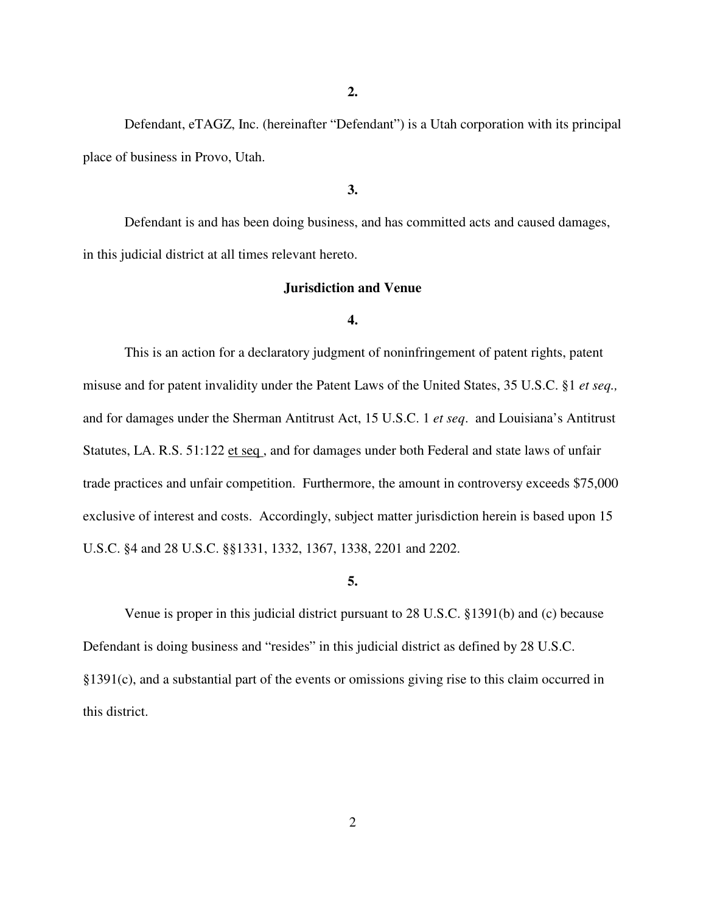**2.**

Defendant, eTAGZ, Inc. (hereinafter "Defendant") is a Utah corporation with its principal place of business in Provo, Utah.

**3.**

Defendant is and has been doing business, and has committed acts and caused damages, in this judicial district at all times relevant hereto.

# **Jurisdiction and Venue**

#### **4.**

This is an action for a declaratory judgment of noninfringement of patent rights, patent misuse and for patent invalidity under the Patent Laws of the United States, 35 U.S.C. §1 *et seq.,* and for damages under the Sherman Antitrust Act, 15 U.S.C. 1 *et seq*. and Louisiana's Antitrust Statutes, LA. R.S. 51:122 et seq , and for damages under both Federal and state laws of unfair trade practices and unfair competition. Furthermore, the amount in controversy exceeds \$75,000 exclusive of interest and costs. Accordingly, subject matter jurisdiction herein is based upon 15 U.S.C. §4 and 28 U.S.C. §§1331, 1332, 1367, 1338, 2201 and 2202.

#### **5.**

Venue is proper in this judicial district pursuant to 28 U.S.C. §1391(b) and (c) because Defendant is doing business and "resides" in this judicial district as defined by 28 U.S.C. §1391(c), and a substantial part of the events or omissions giving rise to this claim occurred in this district.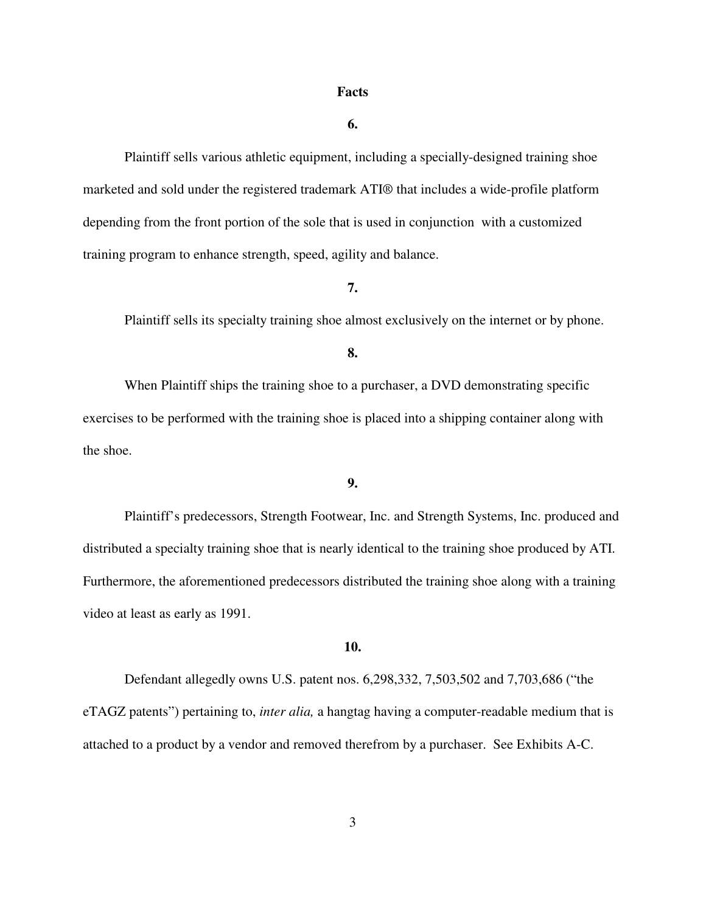#### **Facts**

#### **6.**

Plaintiff sells various athletic equipment, including a specially-designed training shoe marketed and sold under the registered trademark ATI® that includes a wide-profile platform depending from the front portion of the sole that is used in conjunction with a customized training program to enhance strength, speed, agility and balance.

# **7.**

Plaintiff sells its specialty training shoe almost exclusively on the internet or by phone.

### **8.**

When Plaintiff ships the training shoe to a purchaser, a DVD demonstrating specific exercises to be performed with the training shoe is placed into a shipping container along with the shoe.

# **9.**

Plaintiff's predecessors, Strength Footwear, Inc. and Strength Systems, Inc. produced and distributed a specialty training shoe that is nearly identical to the training shoe produced by ATI. Furthermore, the aforementioned predecessors distributed the training shoe along with a training video at least as early as 1991.

### **10.**

Defendant allegedly owns U.S. patent nos. 6,298,332, 7,503,502 and 7,703,686 ("the eTAGZ patents") pertaining to, *inter alia,* a hangtag having a computer-readable medium that is attached to a product by a vendor and removed therefrom by a purchaser. See Exhibits A-C.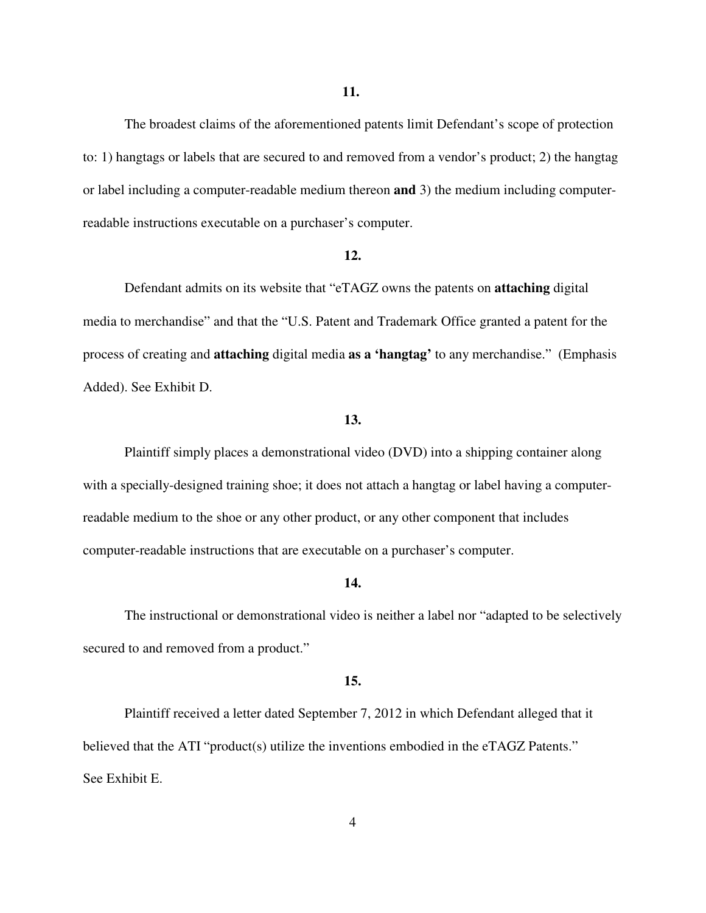The broadest claims of the aforementioned patents limit Defendant's scope of protection to: 1) hangtags or labels that are secured to and removed from a vendor's product; 2) the hangtag or label including a computer-readable medium thereon **and** 3) the medium including computerreadable instructions executable on a purchaser's computer.

### **12.**

Defendant admits on its website that "eTAGZ owns the patents on **attaching** digital media to merchandise" and that the "U.S. Patent and Trademark Office granted a patent for the process of creating and **attaching** digital media **as a 'hangtag'** to any merchandise." (Emphasis Added). See Exhibit D.

### **13.**

Plaintiff simply places a demonstrational video (DVD) into a shipping container along with a specially-designed training shoe; it does not attach a hangtag or label having a computerreadable medium to the shoe or any other product, or any other component that includes computer-readable instructions that are executable on a purchaser's computer.

### **14.**

The instructional or demonstrational video is neither a label nor "adapted to be selectively secured to and removed from a product."

### **15.**

Plaintiff received a letter dated September 7, 2012 in which Defendant alleged that it believed that the ATI "product(s) utilize the inventions embodied in the eTAGZ Patents." See Exhibit E.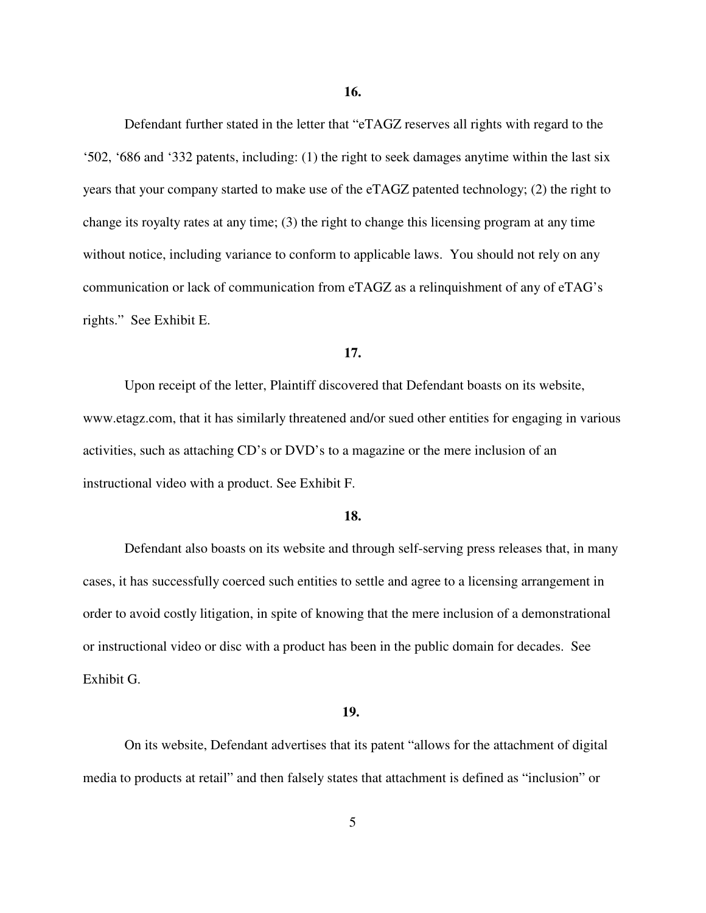**16.**

Defendant further stated in the letter that "eTAGZ reserves all rights with regard to the '502, '686 and '332 patents, including: (1) the right to seek damages anytime within the last six years that your company started to make use of the eTAGZ patented technology; (2) the right to change its royalty rates at any time; (3) the right to change this licensing program at any time without notice, including variance to conform to applicable laws. You should not rely on any communication or lack of communication from eTAGZ as a relinquishment of any of eTAG's rights." See Exhibit E.

#### **17.**

Upon receipt of the letter, Plaintiff discovered that Defendant boasts on its website, www.etagz.com, that it has similarly threatened and/or sued other entities for engaging in various activities, such as attaching CD's or DVD's to a magazine or the mere inclusion of an instructional video with a product. See Exhibit F.

# **18.**

Defendant also boasts on its website and through self-serving press releases that, in many cases, it has successfully coerced such entities to settle and agree to a licensing arrangement in order to avoid costly litigation, in spite of knowing that the mere inclusion of a demonstrational or instructional video or disc with a product has been in the public domain for decades. See Exhibit G.

#### **19.**

On its website, Defendant advertises that its patent "allows for the attachment of digital media to products at retail" and then falsely states that attachment is defined as "inclusion" or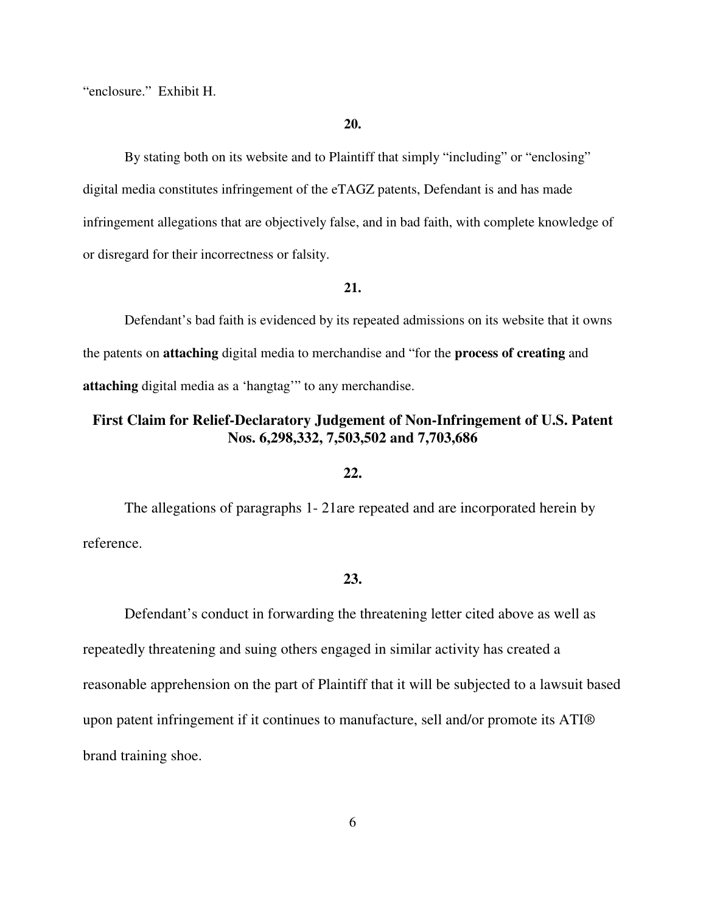"enclosure." Exhibit H.

## **20.**

By stating both on its website and to Plaintiff that simply "including" or "enclosing" digital media constitutes infringement of the eTAGZ patents, Defendant is and has made infringement allegations that are objectively false, and in bad faith, with complete knowledge of or disregard for their incorrectness or falsity.

# **21.**

Defendant's bad faith is evidenced by its repeated admissions on its website that it owns the patents on **attaching** digital media to merchandise and "for the **process of creating** and **attaching** digital media as a 'hangtag'" to any merchandise.

# **First Claim for Relief-Declaratory Judgement of Non-Infringement of U.S. Patent Nos. 6,298,332, 7,503,502 and 7,703,686**

### **22.**

The allegations of paragraphs 1- 21are repeated and are incorporated herein by reference.

# **23.**

Defendant's conduct in forwarding the threatening letter cited above as well as repeatedly threatening and suing others engaged in similar activity has created a reasonable apprehension on the part of Plaintiff that it will be subjected to a lawsuit based upon patent infringement if it continues to manufacture, sell and/or promote its ATI® brand training shoe.

6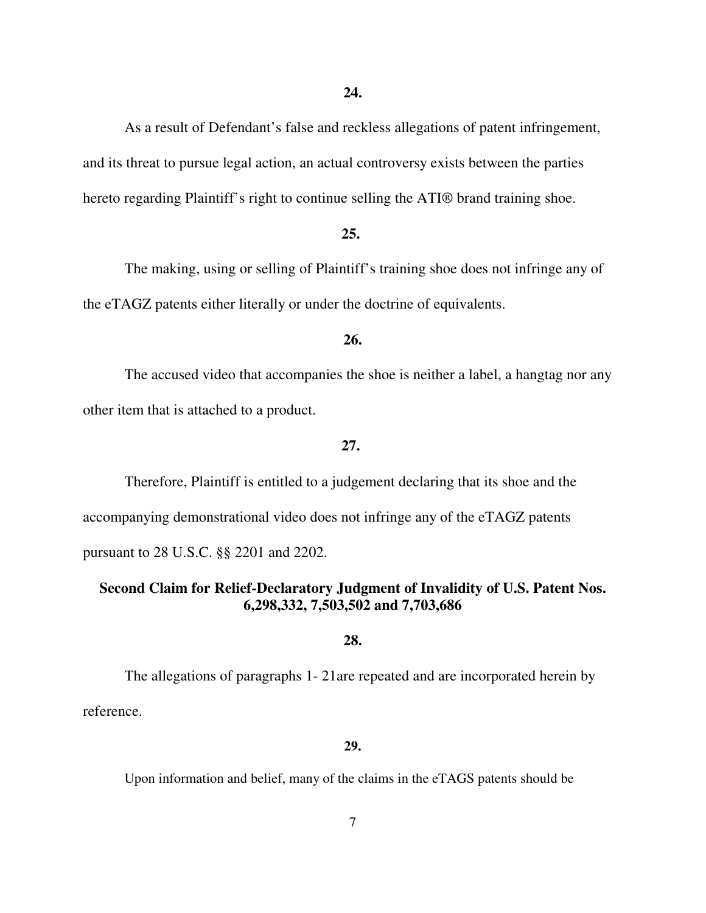As a result of Defendant's false and reckless allegations of patent infringement, and its threat to pursue legal action, an actual controversy exists between the parties hereto regarding Plaintiff's right to continue selling the ATI® brand training shoe.

### **25.**

The making, using or selling of Plaintiff's training shoe does not infringe any of the eTAGZ patents either literally or under the doctrine of equivalents.

### **26.**

The accused video that accompanies the shoe is neither a label, a hangtag nor any other item that is attached to a product.

# **27.**

Therefore, Plaintiff is entitled to a judgement declaring that its shoe and the accompanying demonstrational video does not infringe any of the eTAGZ patents pursuant to 28 U.S.C. §§ 2201 and 2202.

# **Second Claim for Relief-Declaratory Judgment of Invalidity of U.S. Patent Nos. 6,298,332, 7,503,502 and 7,703,686**

# **28.**

The allegations of paragraphs 1- 21are repeated and are incorporated herein by reference.

#### **29.**

Upon information and belief, many of the claims in the eTAGS patents should be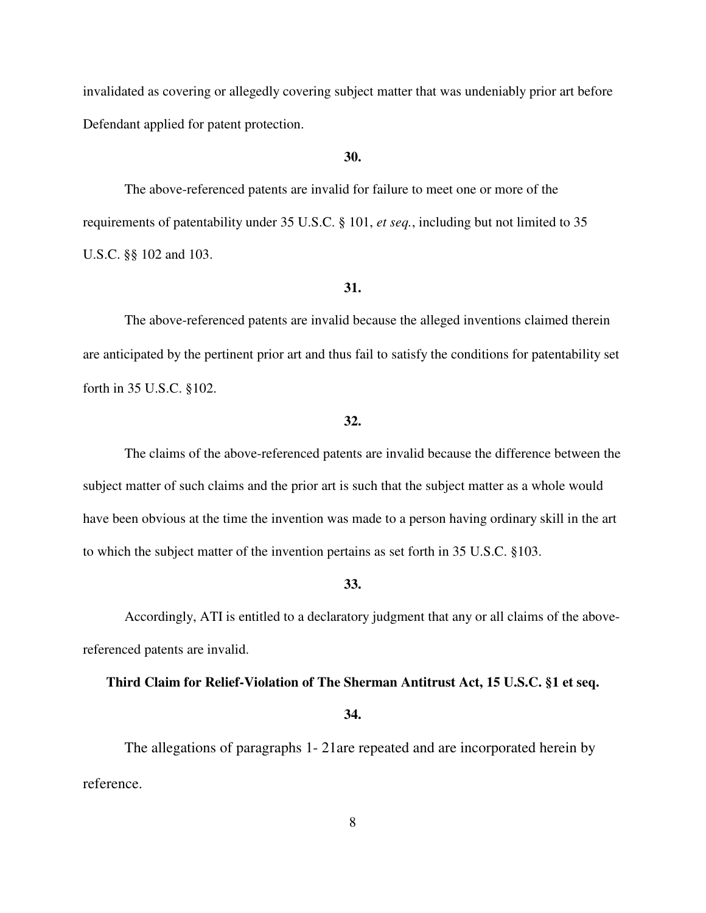invalidated as covering or allegedly covering subject matter that was undeniably prior art before Defendant applied for patent protection.

### **30.**

The above-referenced patents are invalid for failure to meet one or more of the requirements of patentability under 35 U.S.C. § 101, *et seq.*, including but not limited to 35 U.S.C. §§ 102 and 103.

# **31.**

The above-referenced patents are invalid because the alleged inventions claimed therein are anticipated by the pertinent prior art and thus fail to satisfy the conditions for patentability set forth in 35 U.S.C. §102.

# **32.**

The claims of the above-referenced patents are invalid because the difference between the subject matter of such claims and the prior art is such that the subject matter as a whole would have been obvious at the time the invention was made to a person having ordinary skill in the art to which the subject matter of the invention pertains as set forth in 35 U.S.C. §103.

# **33.**

Accordingly, ATI is entitled to a declaratory judgment that any or all claims of the abovereferenced patents are invalid.

### **Third Claim for Relief-Violation of The Sherman Antitrust Act, 15 U.S.C. §1 et seq.**

#### **34.**

The allegations of paragraphs 1- 21are repeated and are incorporated herein by reference.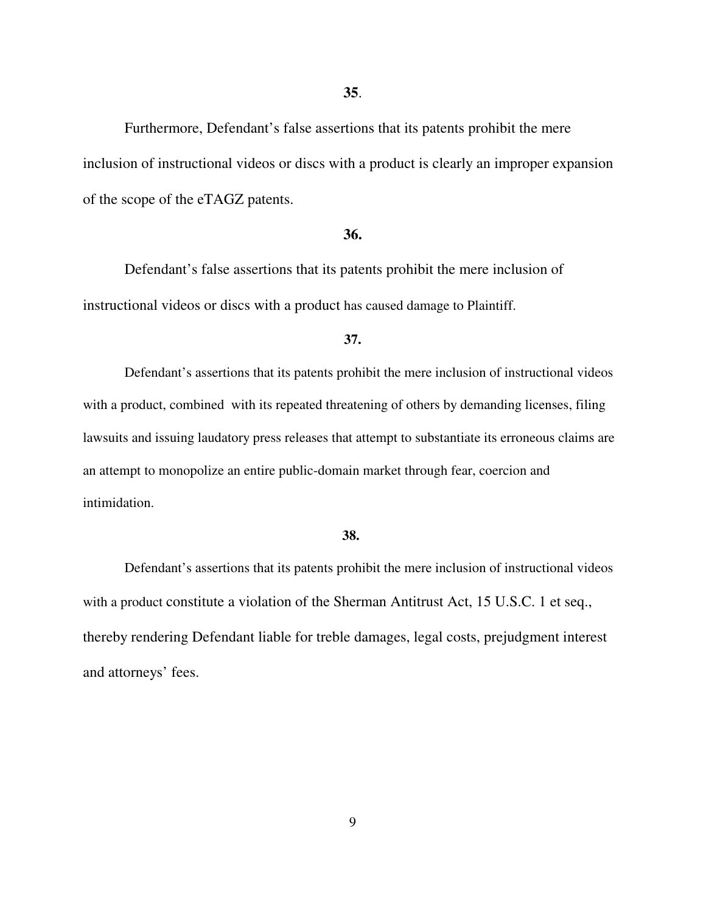Furthermore, Defendant's false assertions that its patents prohibit the mere inclusion of instructional videos or discs with a product is clearly an improper expansion of the scope of the eTAGZ patents.

### **36.**

Defendant's false assertions that its patents prohibit the mere inclusion of instructional videos or discs with a product has caused damage to Plaintiff.

### **37.**

Defendant's assertions that its patents prohibit the mere inclusion of instructional videos with a product, combined with its repeated threatening of others by demanding licenses, filing lawsuits and issuing laudatory press releases that attempt to substantiate its erroneous claims are an attempt to monopolize an entire public-domain market through fear, coercion and intimidation.

### **38.**

Defendant's assertions that its patents prohibit the mere inclusion of instructional videos with a product constitute a violation of the Sherman Antitrust Act, 15 U.S.C. 1 et seq., thereby rendering Defendant liable for treble damages, legal costs, prejudgment interest and attorneys' fees.

9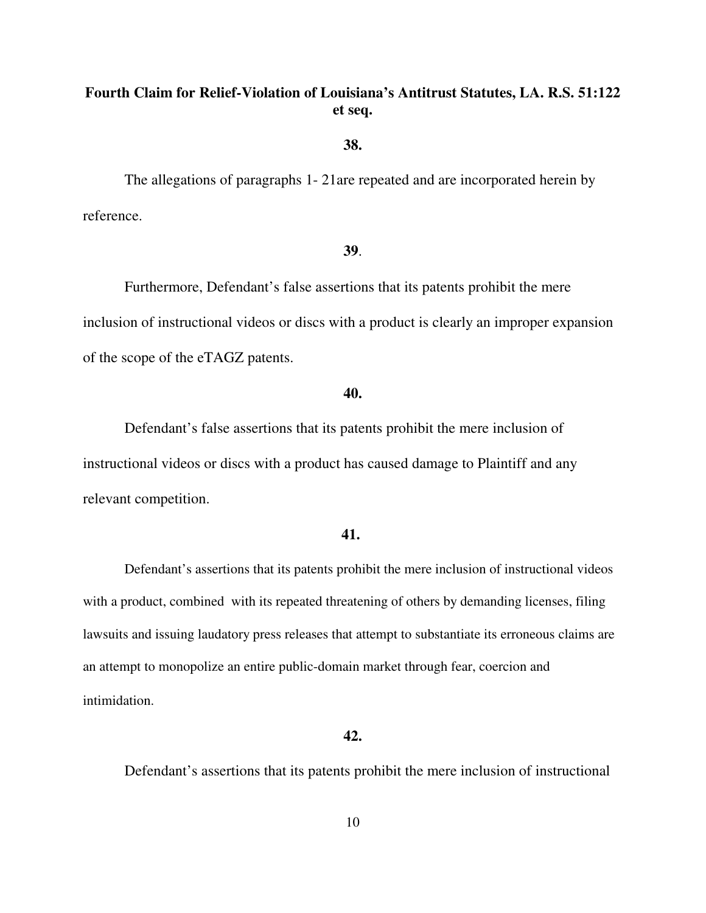# **Fourth Claim for Relief-Violation of Louisiana's Antitrust Statutes, LA. R.S. 51:122 et seq.**

**38.**

The allegations of paragraphs 1- 21are repeated and are incorporated herein by reference.

# **39**.

Furthermore, Defendant's false assertions that its patents prohibit the mere inclusion of instructional videos or discs with a product is clearly an improper expansion of the scope of the eTAGZ patents.

# **40.**

Defendant's false assertions that its patents prohibit the mere inclusion of instructional videos or discs with a product has caused damage to Plaintiff and any relevant competition.

# **41.**

Defendant's assertions that its patents prohibit the mere inclusion of instructional videos with a product, combined with its repeated threatening of others by demanding licenses, filing lawsuits and issuing laudatory press releases that attempt to substantiate its erroneous claims are an attempt to monopolize an entire public-domain market through fear, coercion and intimidation.

# **42.**

Defendant's assertions that its patents prohibit the mere inclusion of instructional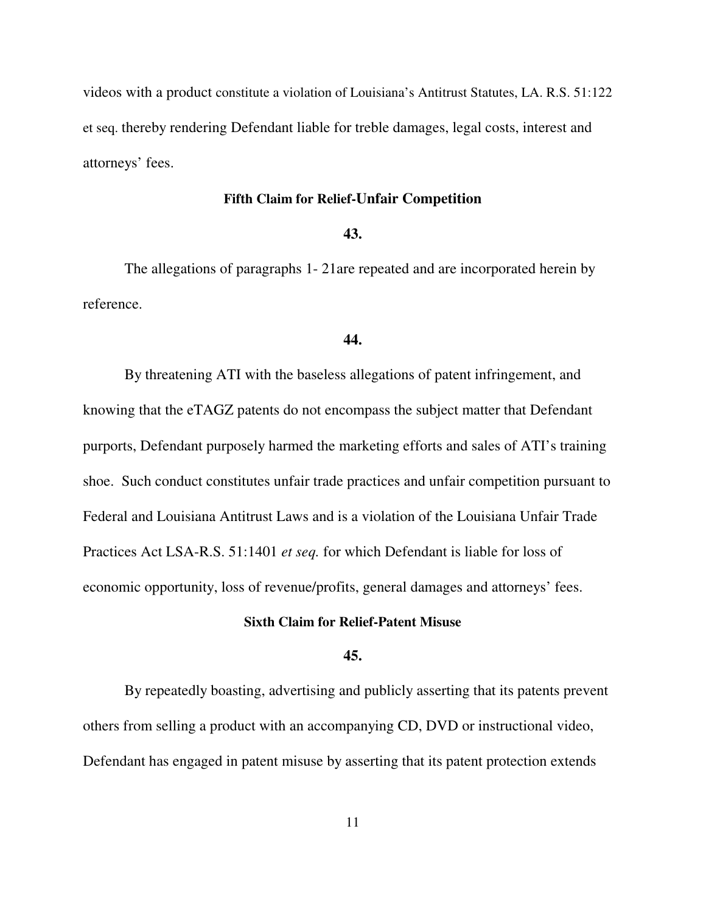videos with a product constitute a violation of Louisiana's Antitrust Statutes, LA. R.S. 51:122 et seq. thereby rendering Defendant liable for treble damages, legal costs, interest and attorneys' fees.

# **Fifth Claim for Relief-Unfair Competition**

# **43.**

The allegations of paragraphs 1- 21are repeated and are incorporated herein by reference.

### **44.**

By threatening ATI with the baseless allegations of patent infringement, and knowing that the eTAGZ patents do not encompass the subject matter that Defendant purports, Defendant purposely harmed the marketing efforts and sales of ATI's training shoe. Such conduct constitutes unfair trade practices and unfair competition pursuant to Federal and Louisiana Antitrust Laws and is a violation of the Louisiana Unfair Trade Practices Act LSA-R.S. 51:1401 *et seq.* for which Defendant is liable for loss of economic opportunity, loss of revenue/profits, general damages and attorneys' fees.

# **Sixth Claim for Relief-Patent Misuse**

# **45.**

By repeatedly boasting, advertising and publicly asserting that its patents prevent others from selling a product with an accompanying CD, DVD or instructional video, Defendant has engaged in patent misuse by asserting that its patent protection extends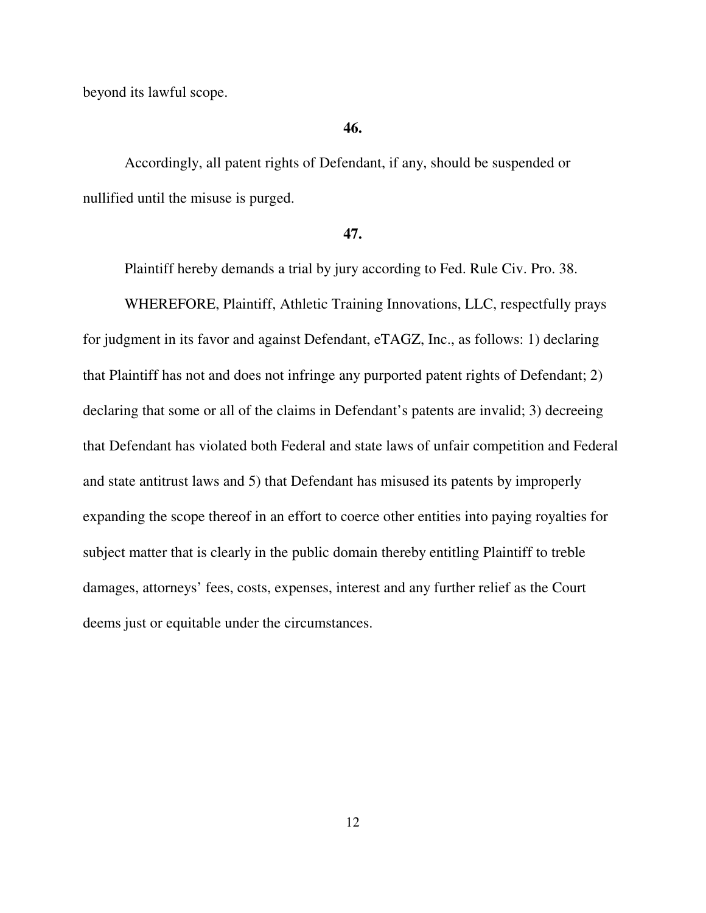beyond its lawful scope.

# **46.**

Accordingly, all patent rights of Defendant, if any, should be suspended or nullified until the misuse is purged.

### **47.**

Plaintiff hereby demands a trial by jury according to Fed. Rule Civ. Pro. 38.

WHEREFORE, Plaintiff, Athletic Training Innovations, LLC, respectfully prays for judgment in its favor and against Defendant, eTAGZ, Inc., as follows: 1) declaring that Plaintiff has not and does not infringe any purported patent rights of Defendant; 2) declaring that some or all of the claims in Defendant's patents are invalid; 3) decreeing that Defendant has violated both Federal and state laws of unfair competition and Federal and state antitrust laws and 5) that Defendant has misused its patents by improperly expanding the scope thereof in an effort to coerce other entities into paying royalties for subject matter that is clearly in the public domain thereby entitling Plaintiff to treble damages, attorneys' fees, costs, expenses, interest and any further relief as the Court deems just or equitable under the circumstances.